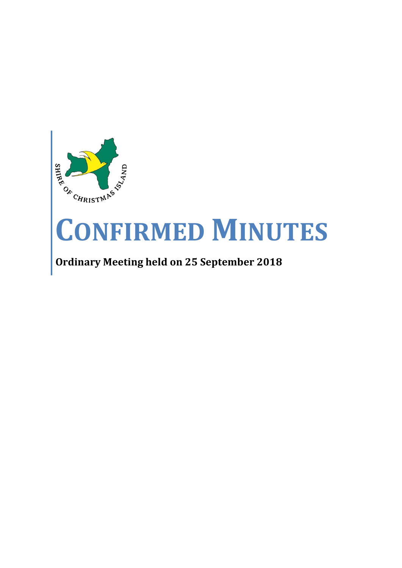

# **CONFIRMED MINUTES**

## **Ordinary Meeting held on 25 September 2018**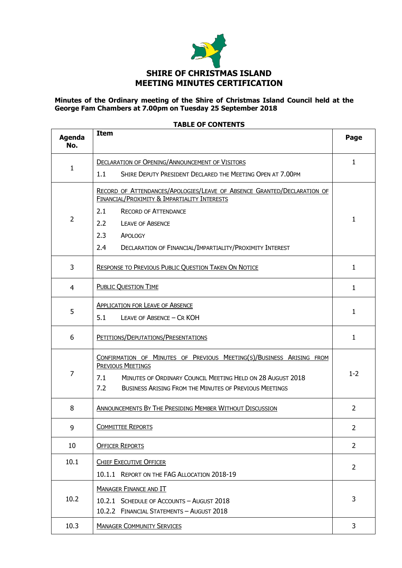

#### **Minutes of the Ordinary meeting of the Shire of Christmas Island Council held at the George Fam Chambers at 7.00pm on Tuesday 25 September 2018**

| <b>Agenda</b><br>No. | <b>Item</b>                                                                                                                                                                                                                                                                          | Page           |  |
|----------------------|--------------------------------------------------------------------------------------------------------------------------------------------------------------------------------------------------------------------------------------------------------------------------------------|----------------|--|
| 1                    | <b>DECLARATION OF OPENING/ANNOUNCEMENT OF VISITORS</b><br>SHIRE DEPUTY PRESIDENT DECLARED THE MEETING OPEN AT 7.00PM<br>1.1                                                                                                                                                          | $\mathbf{1}$   |  |
| $\overline{2}$       | RECORD OF ATTENDANCES/APOLOGIES/LEAVE OF ABSENCE GRANTED/DECLARATION OF<br>FINANCIAL/PROXIMITY & IMPARTIALITY INTERESTS<br>2.1<br><b>RECORD OF ATTENDANCE</b><br>2.2<br><b>LEAVE OF ABSENCE</b><br>2.3<br>APOLOGY<br>2.4<br>DECLARATION OF FINANCIAL/IMPARTIALITY/PROXIMITY INTEREST | $\mathbf{1}$   |  |
| 3                    | <b>RESPONSE TO PREVIOUS PUBLIC QUESTION TAKEN ON NOTICE</b>                                                                                                                                                                                                                          |                |  |
| 4                    | <b>PUBLIC QUESTION TIME</b>                                                                                                                                                                                                                                                          |                |  |
| 5                    | <b>APPLICATION FOR LEAVE OF ABSENCE</b><br>5.1<br>LEAVE OF ABSENCE - CR KOH                                                                                                                                                                                                          | $\mathbf{1}$   |  |
| 6                    | PETITIONS/DEPUTATIONS/PRESENTATIONS                                                                                                                                                                                                                                                  |                |  |
| $\overline{7}$       | CONFIRMATION OF MINUTES OF PREVIOUS MEETING(S)/BUSINESS ARISING FROM<br><b>PREVIOUS MEETINGS</b><br>MINUTES OF ORDINARY COUNCIL MEETING HELD ON 28 AUGUST 2018<br>7.1<br>7.2<br><b>BUSINESS ARISING FROM THE MINUTES OF PREVIOUS MEETINGS</b>                                        |                |  |
| 8                    | <b>ANNOUNCEMENTS BY THE PRESIDING MEMBER WITHOUT DISCUSSION</b>                                                                                                                                                                                                                      |                |  |
| 9                    | <b>COMMITTEE REPORTS</b>                                                                                                                                                                                                                                                             |                |  |
| 10                   | <b>OFFICER REPORTS</b>                                                                                                                                                                                                                                                               |                |  |
| 10.1                 | <b>CHIEF EXECUTIVE OFFICER</b><br>10.1.1 REPORT ON THE FAG ALLOCATION 2018-19                                                                                                                                                                                                        | $\overline{2}$ |  |
| 10.2                 | <b>MANAGER FINANCE AND IT</b><br>10.2.1 SCHEDULE OF ACCOUNTS - AUGUST 2018<br>10.2.2 FINANCIAL STATEMENTS - AUGUST 2018                                                                                                                                                              | 3              |  |
| 10.3                 | <b>MANAGER COMMUNITY SERVICES</b>                                                                                                                                                                                                                                                    | 3              |  |

#### **TABLE OF CONTENTS**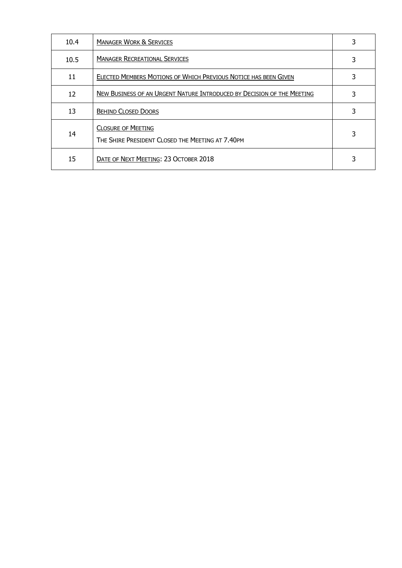| 10.4 | <b>MANAGER WORK &amp; SERVICES</b>                                            |   |
|------|-------------------------------------------------------------------------------|---|
| 10.5 | <b>MANAGER RECREATIONAL SERVICES</b>                                          | 3 |
| 11   | ELECTED MEMBERS MOTIONS OF WHICH PREVIOUS NOTICE HAS BEEN GIVEN               | 3 |
| 12   | NEW BUSINESS OF AN URGENT NATURE INTRODUCED BY DECISION OF THE MEETING        |   |
| 13   | <b>BEHIND CLOSED DOORS</b>                                                    | 3 |
| 14   | <b>CLOSURE OF MEETING</b><br>THE SHIRE PRESIDENT CLOSED THE MEETING AT 7.40PM | 3 |
| 15   | DATE OF NEXT MEETING: 23 OCTOBER 2018                                         |   |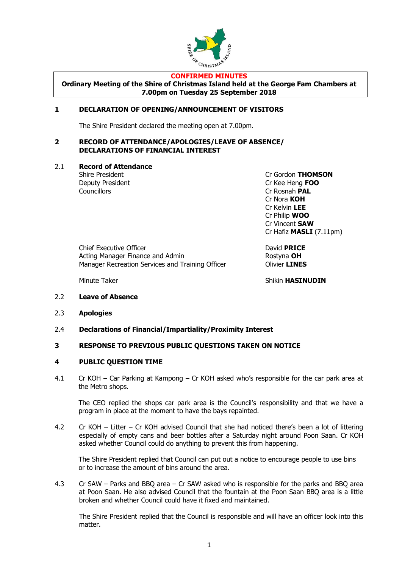

#### **CONFIRMED MINUTES**

**Ordinary Meeting of the Shire of Christmas Island held at the George Fam Chambers at 7.00pm on Tuesday 25 September 2018**

#### **1 DECLARATION OF OPENING/ANNOUNCEMENT OF VISITORS**

The Shire President declared the meeting open at 7.00pm.

#### **2 RECORD OF ATTENDANCE/APOLOGIES/LEAVE OF ABSENCE/ DECLARATIONS OF FINANCIAL INTEREST**

2.1 **Record of Attendance**

Councillors **Councillors** Cr Rosnah **PAL** 

Shire President Cr Gordon **THOMSON** Deputy President Cr Kee Heng **FOO** Cr Nora **KOH** Cr Kelvin **LEE** Cr Philip **WOO** Cr Vincent **SAW** Cr Hafiz **MASLI** (7.11pm)

Chief Executive Officer David **PRICE** Acting Manager Finance and Admin **Rostyna OH** Manager Recreation Services and Training Officer **Canadian Clivier LINES** 

Minute Taker **Shikin HASINUDIN** 

- 2.2 **Leave of Absence**
- 2.3 **Apologies**
- 2.4 **Declarations of Financial/Impartiality/Proximity Interest**

#### **3 RESPONSE TO PREVIOUS PUBLIC QUESTIONS TAKEN ON NOTICE**

#### **4 PUBLIC QUESTION TIME**

4.1 Cr KOH – Car Parking at Kampong – Cr KOH asked who's responsible for the car park area at the Metro shops.

The CEO replied the shops car park area is the Council's responsibility and that we have a program in place at the moment to have the bays repainted.

4.2 Cr KOH – Litter – Cr KOH advised Council that she had noticed there's been a lot of littering especially of empty cans and beer bottles after a Saturday night around Poon Saan. Cr KOH asked whether Council could do anything to prevent this from happening.

The Shire President replied that Council can put out a notice to encourage people to use bins or to increase the amount of bins around the area.

4.3 Cr SAW – Parks and BBQ area – Cr SAW asked who is responsible for the parks and BBQ area at Poon Saan. He also advised Council that the fountain at the Poon Saan BBQ area is a little broken and whether Council could have it fixed and maintained.

The Shire President replied that the Council is responsible and will have an officer look into this matter.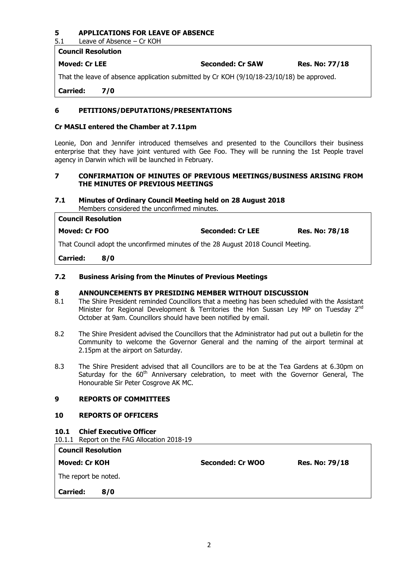#### **5 APPLICATIONS FOR LEAVE OF ABSENCE**

5.1 Leave of Absence – Cr KOH

| <b>Moved: Cr LEE</b> | <b>Seconded: Cr SAW</b> | <b>Res. No: 77/18</b> |
|----------------------|-------------------------|-----------------------|

That the leave of absence application submitted by Cr KOH (9/10/18-23/10/18) be approved.

**Carried: 7/0**

**Council Resolution**

#### **6 PETITIONS/DEPUTATIONS/PRESENTATIONS**

#### **Cr MASLI entered the Chamber at 7.11pm**

Leonie, Don and Jennifer introduced themselves and presented to the Councillors their business enterprise that they have joint ventured with Gee Foo. They will be running the 1st People travel agency in Darwin which will be launched in February.

#### **7 CONFIRMATION OF MINUTES OF PREVIOUS MEETINGS/BUSINESS ARISING FROM THE MINUTES OF PREVIOUS MEETINGS**

#### **7.1 Minutes of Ordinary Council Meeting held on 28 August 2018** Members considered the unconfirmed minutes.

| <b>Council Resolution</b>                                                         |     |                         |                       |  |
|-----------------------------------------------------------------------------------|-----|-------------------------|-----------------------|--|
| Moved: Cr FOO                                                                     |     | <b>Seconded: Cr LEE</b> | <b>Res. No: 78/18</b> |  |
| That Council adopt the unconfirmed minutes of the 28 August 2018 Council Meeting. |     |                         |                       |  |
| <b>Carried:</b>                                                                   | 8/0 |                         |                       |  |

#### **7.2 Business Arising from the Minutes of Previous Meetings**

#### **8 ANNOUNCEMENTS BY PRESIDING MEMBER WITHOUT DISCUSSION**

- 8.1 The Shire President reminded Councillors that a meeting has been scheduled with the Assistant Minister for Regional Development & Territories the Hon Sussan Ley MP on Tuesday 2<sup>nd</sup> October at 9am. Councillors should have been notified by email.
- 8.2 The Shire President advised the Councillors that the Administrator had put out a bulletin for the Community to welcome the Governor General and the naming of the airport terminal at 2.15pm at the airport on Saturday.
- 8.3 The Shire President advised that all Councillors are to be at the Tea Gardens at 6.30pm on Saturday for the  $60<sup>th</sup>$  Anniversary celebration, to meet with the Governor General, The Honourable Sir Peter Cosgrove AK MC.

#### **9 REPORTS OF COMMITTEES**

#### **10 REPORTS OF OFFICERS**

#### **10.1 Chief Executive Officer**

|  | 10.1.1 Report on the FAG Allocation 2018-19 |  |
|--|---------------------------------------------|--|
|  |                                             |  |

|  | <b>Council Resolution</b> |
|--|---------------------------|
|--|---------------------------|

**Moved: Cr KOH Seconded: Cr WOO Res. No: 79/18**

The report be noted.

**Carried: 8/0**